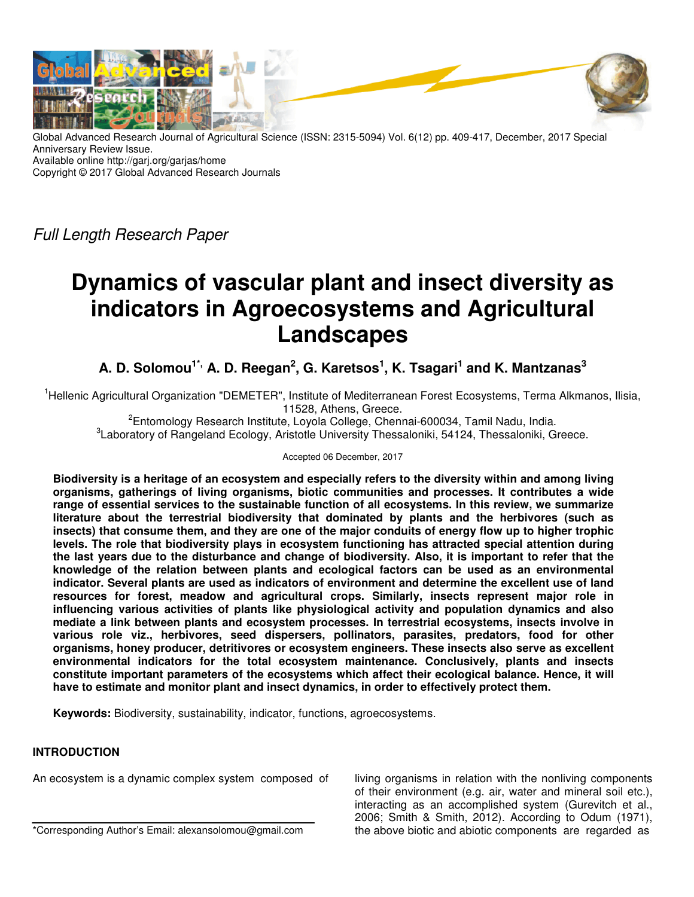

Global Advanced Research Journal of Agricultural Science (ISSN: 2315-5094) Vol. 6(12) pp. 409-417, December, 2017 Special Anniversary Review Issue. Available online http://garj.org/garjas/home Copyright © 2017 Global Advanced Research Journals

Full Length Research Paper

# **Dynamics of vascular plant and insect diversity as indicators in Agroecosystems and Agricultural Landscapes**

**A. D. Solomou1\*, A. D. Reegan<sup>2</sup> , G. Karetsos<sup>1</sup> , K. Tsagari<sup>1</sup> and K. Mantzanas<sup>3</sup>**

<sup>1</sup>Hellenic Agricultural Organization "DEMETER", Institute of Mediterranean Forest Ecosystems, Terma Alkmanos, Ilisia, 11528, Athens, Greece.

<sup>2</sup>Entomology Research Institute, Loyola College, Chennai-600034, Tamil Nadu, India. <sup>3</sup> Laboratory of Rangeland Ecology, Aristotle University Thessaloniki, 54124, Thessaloniki, Greece.

Accepted 06 December, 2017

**Biodiversity is a heritage of an ecosystem and especially refers to the diversity within and among living organisms, gatherings of living organisms, biotic communities and processes. It contributes a wide range of essential services to the sustainable function of all ecosystems. In this review, we summarize literature about the terrestrial biodiversity that dominated by plants and the herbivores (such as insects) that consume them, and they are one of the major conduits of energy flow up to higher trophic levels. The role that biodiversity plays in ecosystem functioning has attracted special attention during the last years due to the disturbance and change of biodiversity. Also, it is important to refer that the knowledge of the relation between plants and ecological factors can be used as an environmental indicator. Several plants are used as indicators of environment and determine the excellent use of land resources for forest, meadow and agricultural crops. Similarly, insects represent major role in influencing various activities of plants like physiological activity and population dynamics and also mediate a link between plants and ecosystem processes. In terrestrial ecosystems, insects involve in various role viz., herbivores, seed dispersers, pollinators, parasites, predators, food for other organisms, honey producer, detritivores or ecosystem engineers. These insects also serve as excellent environmental indicators for the total ecosystem maintenance. Conclusively, plants and insects constitute important parameters of the ecosystems which affect their ecological balance. Hence, it will have to estimate and monitor plant and insect dynamics, in order to effectively protect them.** 

**Keywords:** Biodiversity, sustainability, indicator, functions, agroecosystems.

## **INTRODUCTION**

An ecosystem is a dynamic complex system composed of

\*Corresponding Author's Email: alexansolomou@gmail.com

living organisms in relation with the nonliving components of their environment (e.g. air, water and mineral soil etc.), interacting as an accomplished system (Gurevitch et al., 2006; Smith & Smith, 2012). According to Odum (1971), the above biotic and abiotic components are regarded as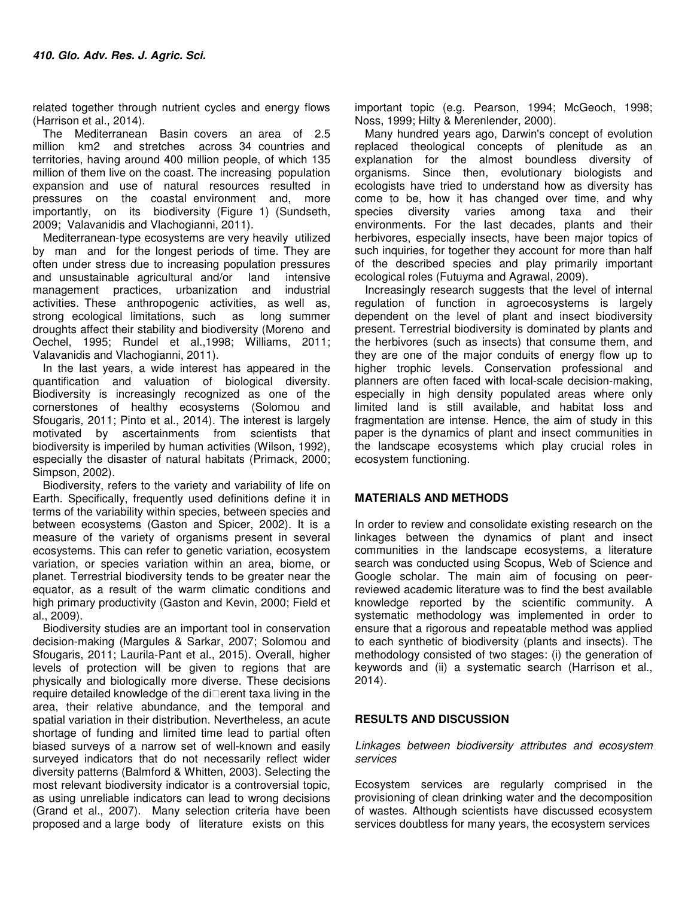related together through nutrient cycles and energy flows (Harrison et al., 2014).

The Mediterranean Basin covers an area of 2.5 million km2 and stretches across 34 countries and territories, having around 400 million people, of which 135 million of them live on the coast. The increasing population expansion and use of natural resources resulted in pressures on the coastal environment and, more importantly, on its biodiversity (Figure 1) (Sundseth, 2009; Valavanidis and Vlachogianni, 2011).

Mediterranean‐type ecosystems are very heavily utilized by man and for the longest periods of time. They are often under stress due to increasing population pressures and unsustainable agricultural and/or land intensive management practices, urbanization and industrial activities. These anthropogenic activities, as well as, strong ecological limitations, such as long summer droughts affect their stability and biodiversity (Moreno and Oechel, 1995; Rundel et al.,1998; Williams, 2011; Valavanidis and Vlachogianni, 2011).

In the last years, a wide interest has appeared in the quantification and valuation of biological diversity. Biodiversity is increasingly recognized as one of the cornerstones of healthy ecosystems (Solomou and Sfougaris, 2011; Pinto et al., 2014). The interest is largely motivated by ascertainments from scientists that biodiversity is imperiled by human activities (Wilson, 1992), especially the disaster of natural habitats (Primack, 2000; Simpson, 2002).

Biodiversity, refers to the variety and variability of life on Earth. Specifically, frequently used definitions define it in terms of the variability within species, between species and between ecosystems (Gaston and Spicer, 2002). It is a measure of the variety of organisms present in several ecosystems. This can refer to genetic variation, ecosystem variation, or species variation within an area, biome, or planet. Terrestrial biodiversity tends to be greater near the equator, as a result of the warm climatic conditions and high primary productivity (Gaston and Kevin, 2000; Field et al., 2009).

Biodiversity studies are an important tool in conservation decision-making (Margules & Sarkar, 2007; Solomou and Sfougaris, 2011; Laurila-Pant et al., 2015). Overall, higher levels of protection will be given to regions that are physically and biologically more diverse. These decisions require detailed knowledge of the di $\square$ erent taxa living in the area, their relative abundance, and the temporal and spatial variation in their distribution. Nevertheless, an acute shortage of funding and limited time lead to partial often biased surveys of a narrow set of well-known and easily surveyed indicators that do not necessarily reflect wider diversity patterns (Balmford & Whitten, 2003). Selecting the most relevant biodiversity indicator is a controversial topic, as using unreliable indicators can lead to wrong decisions (Grand et al., 2007). Many selection criteria have been proposed and a large body of literature exists on this

important topic (e.g. Pearson, 1994; McGeoch, 1998; Noss, 1999; Hilty & Merenlender, 2000).

Many hundred years ago, Darwin's concept of evolution replaced theological concepts of plenitude as an explanation for the almost boundless diversity of organisms. Since then, evolutionary biologists and ecologists have tried to understand how as diversity has come to be, how it has changed over time, and why species diversity varies among taxa and their environments. For the last decades, plants and their herbivores, especially insects, have been major topics of such inquiries, for together they account for more than half of the described species and play primarily important ecological roles (Futuyma and Agrawal, 2009).

Increasingly research suggests that the level of internal regulation of function in agroecosystems is largely dependent on the level of plant and insect biodiversity present. Terrestrial biodiversity is dominated by plants and the herbivores (such as insects) that consume them, and they are one of the major conduits of energy flow up to higher trophic levels. Conservation professional and planners are often faced with local-scale decision-making, especially in high density populated areas where only limited land is still available, and habitat loss and fragmentation are intense. Hence, the aim of study in this paper is the dynamics of plant and insect communities in the landscape ecosystems which play crucial roles in ecosystem functioning.

## **MATERIALS AND METHODS**

In order to review and consolidate existing research on the linkages between the dynamics of plant and insect communities in the landscape ecosystems, a literature search was conducted using Scopus, Web of Science and Google scholar. The main aim of focusing on peerreviewed academic literature was to find the best available knowledge reported by the scientific community. A systematic methodology was implemented in order to ensure that a rigorous and repeatable method was applied to each synthetic of biodiversity (plants and insects). The methodology consisted of two stages: (i) the generation of keywords and (ii) a systematic search (Harrison et al., 2014).

## **RESULTS AND DISCUSSION**

#### Linkages between biodiversity attributes and ecosystem services

Ecosystem services are regularly comprised in the provisioning of clean drinking water and the decomposition of wastes. Although scientists have discussed ecosystem services doubtless for many years, the ecosystem services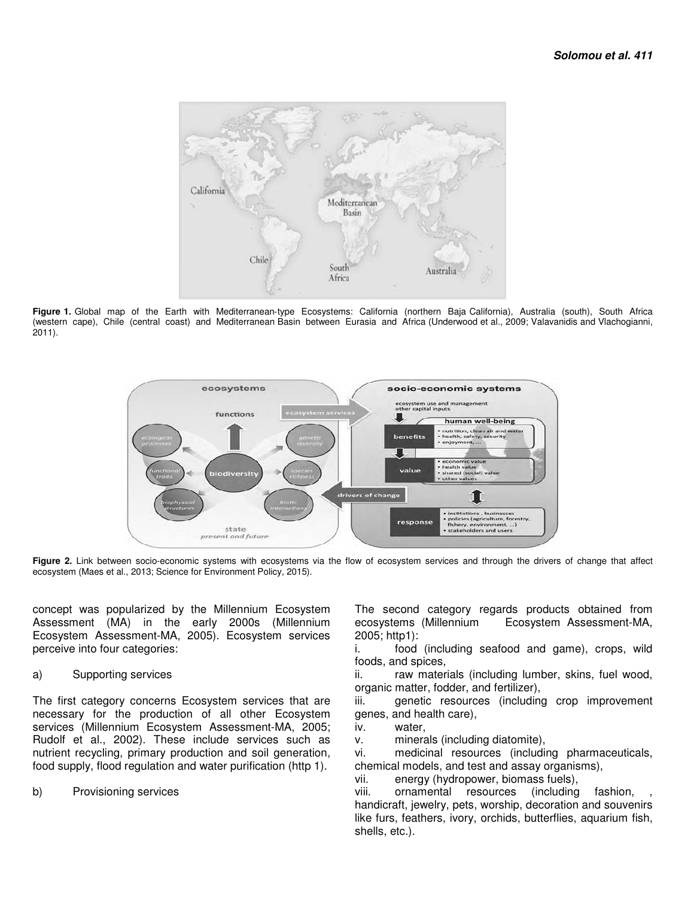

Figure 1. Global map of the Earth with Mediterranean-type Ecosystems: California (northern Baja California), Australia (south), South Africa (western cape), Chile (central coast) and Mediterranean Basin between Eurasia and Africa (Underwood et al., 2009; Valavanidis and Vlachogianni, 2011).



Figure 2. Link between socio-economic systems with ecosystems via the flow of ecosystem services and through the drivers of change that affect ecosystem (Maes et al., 2013; Science for Environment Policy, 2015).

concept was popularized by the Millennium Ecosystem Assessment (MA) in the early 2000s (Millennium Ecosystem Assessment-MA, 2005). Ecosystem services perceive into four categories:

## a) Supporting services

The first category concerns Ecosystem services that are necessary for the production of all other Ecosystem services (Millennium Ecosystem Assessment-MA, 2005; Rudolf et al., 2002). These include services such as nutrient recycling, primary production and soil generation, food supply, flood regulation and water purification (http 1).

b) Provisioning services

The second category regards products obtained from ecosystems (Millennium Ecosystem Assessment-MA, 2005; http1):

i. food (including seafood and game), crops, wild foods, and spices,

ii. raw materials (including lumber, skins, fuel wood, organic matter, fodder, and fertilizer),

iii. genetic resources (including crop improvement genes, and health care),

iv. water,

v. minerals (including diatomite),

vi. medicinal resources (including pharmaceuticals, chemical models, and test and assay organisms),

vii. energy (hydropower, biomass fuels),

viii. ornamental resources (including fashion, handicraft, jewelry, pets, worship, decoration and souvenirs like furs, feathers, ivory, orchids, butterflies, aquarium fish, shells, etc.).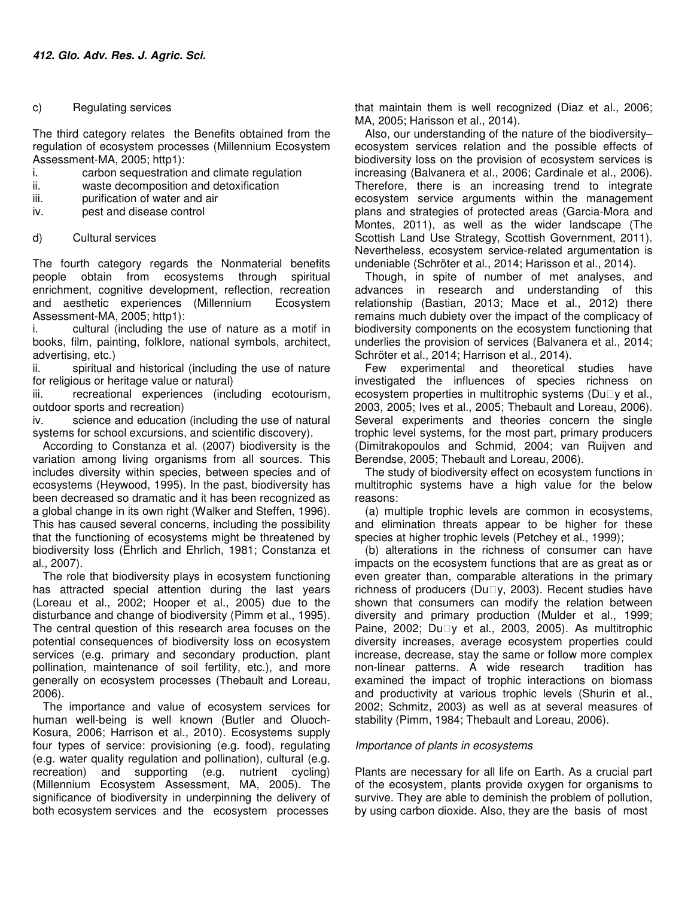## c) Regulating services

The third category relates the Benefits obtained from the regulation of ecosystem processes (Millennium Ecosystem Assessment-MA, 2005; http1):

- i. carbon sequestration and climate regulation
- ii. waste decomposition and detoxification
- iii. purification of water and air
- iv. pest and disease control
- d) Cultural services

The fourth category regards the Nonmaterial benefits people obtain from ecosystems through spiritual enrichment, cognitive development, reflection, recreation and aesthetic experiences (Millennium Ecosystem Assessment-MA, 2005; http1):

i. cultural (including the use of nature as a motif in books, film, painting, folklore, national symbols, architect, advertising, etc.)

ii. spiritual and historical (including the use of nature for religious or heritage value or natural)

iii. recreational experiences (including ecotourism, outdoor sports and recreation)

iv. science and education (including the use of natural systems for school excursions, and scientific discovery).

According to Constanza et al. (2007) biodiversity is the variation among living organisms from all sources. This includes diversity within species, between species and of ecosystems (Heywood, 1995). In the past, biodiversity has been decreased so dramatic and it has been recognized as a global change in its own right (Walker and Steffen, 1996). This has caused several concerns, including the possibility that the functioning of ecosystems might be threatened by biodiversity loss (Ehrlich and Ehrlich, 1981; Constanza et al., 2007).

The role that biodiversity plays in ecosystem functioning has attracted special attention during the last years (Loreau et al., 2002; Hooper et al., 2005) due to the disturbance and change of biodiversity (Pimm et al., 1995). The central question of this research area focuses on the potential consequences of biodiversity loss on ecosystem services (e.g. primary and secondary production, plant pollination, maintenance of soil fertility, etc.), and more generally on ecosystem processes (Thebault and Loreau, 2006).

The importance and value of ecosystem services for human well-being is well known (Butler and Oluoch-Kosura, 2006; Harrison et al., 2010). Ecosystems supply four types of service: provisioning (e.g. food), regulating (e.g. water quality regulation and pollination), cultural (e.g. recreation) and supporting (e.g. nutrient cycling) (Millennium Ecosystem Assessment, MA, 2005). The significance of biodiversity in underpinning the delivery of both ecosystem services and the ecosystem processes

that maintain them is well recognized (Diaz et al., 2006; MA, 2005; Harisson et al., 2014).

Also, our understanding of the nature of the biodiversity– ecosystem services relation and the possible effects of biodiversity loss on the provision of ecosystem services is increasing (Balvanera et al., 2006; Cardinale et al., 2006). Therefore, there is an increasing trend to integrate ecosystem service arguments within the management plans and strategies of protected areas (Garcia-Mora and Montes, 2011), as well as the wider landscape (The Scottish Land Use Strategy, Scottish Government, 2011). Nevertheless, ecosystem service-related argumentation is undeniable (Schröter et al., 2014; Harisson et al., 2014).

Though, in spite of number of met analyses, and advances in research and understanding of this relationship (Bastian, 2013; Mace et al., 2012) there remains much dubiety over the impact of the complicacy of biodiversity components on the ecosystem functioning that underlies the provision of services (Balvanera et al., 2014; Schröter et al., 2014; Harrison et al., 2014).

Few experimental and theoretical studies have investigated the influences of species richness on ecosystem properties in multitrophic systems ( $Du\square v$  et al., 2003, 2005; Ives et al., 2005; Thebault and Loreau, 2006). Several experiments and theories concern the single trophic level systems, for the most part, primary producers (Dimitrakopoulos and Schmid, 2004; van Ruijven and Berendse, 2005; Thebault and Loreau, 2006).

The study of biodiversity effect on ecosystem functions in multitrophic systems have a high value for the below reasons:

(a) multiple trophic levels are common in ecosystems, and elimination threats appear to be higher for these species at higher trophic levels (Petchey et al., 1999);

(b) alterations in the richness of consumer can have impacts on the ecosystem functions that are as great as or even greater than, comparable alterations in the primary richness of producers (Du $\square$ y, 2003). Recent studies have shown that consumers can modify the relation between diversity and primary production (Mulder et al., 1999; Paine, 2002; Du□y et al., 2003, 2005). As multitrophic diversity increases, average ecosystem properties could increase, decrease, stay the same or follow more complex non-linear patterns. A wide research tradition has examined the impact of trophic interactions on biomass and productivity at various trophic levels (Shurin et al., 2002; Schmitz, 2003) as well as at several measures of stability (Pimm, 1984; Thebault and Loreau, 2006).

## Importance of plants in ecosystems

Plants are necessary for all life on Earth. As a crucial part of the ecosystem, plants provide oxygen for organisms to survive. They are able to deminish the problem of pollution, by using carbon dioxide. Also, they are the basis of most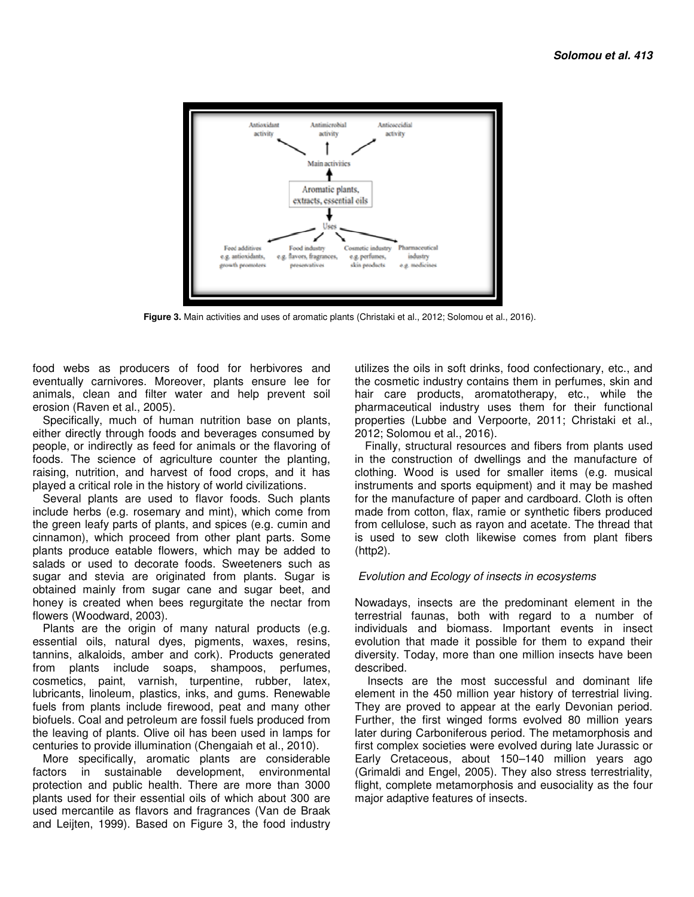

 **Figure 3.** Main activities and uses of aromatic plants (Christaki et al., 2012; Solomou et al., 2016).

food webs as producers of food for herbivores and eventually carnivores. Moreover, plants ensure lee for animals, clean and filter water and help prevent soil erosion (Raven et al., 2005).

Specifically, much of human nutrition base on plants, either directly through foods and beverages consumed by people, or indirectly as feed for animals or the flavoring of foods. The science of agriculture counter the planting, raising, nutrition, and harvest of food crops, and it has played a critical role in the history of world civilizations.

Several plants are used to flavor foods. Such plants include herbs (e.g. rosemary and mint), which come from the green leafy parts of plants, and spices (e.g. cumin and cinnamon), which proceed from other plant parts. Some plants produce eatable flowers, which may be added to salads or used to decorate foods. Sweeteners such as sugar and stevia are originated from plants. Sugar is obtained mainly from sugar cane and sugar beet, and honey is created when bees regurgitate the nectar from flowers (Woodward, 2003).

Plants are the origin of many natural products (e.g. essential oils, natural dyes, pigments, waxes, resins, tannins, alkaloids, amber and cork). Products generated from plants include soaps, shampoos, perfumes, cosmetics, paint, varnish, turpentine, rubber, latex, lubricants, linoleum, plastics, inks, and gums. Renewable fuels from plants include firewood, peat and many other biofuels. Coal and petroleum are fossil fuels produced from the leaving of plants. Olive oil has been used in lamps for centuries to provide illumination (Chengaiah et al., 2010).

More specifically, aromatic plants are considerable factors in sustainable development, environmental protection and public health. There are more than 3000 plants used for their essential oils of which about 300 are used mercantile as flavors and fragrances (Van de Braak and Leijten, 1999). Based on Figure 3, the food industry

utilizes the oils in soft drinks, food confectionary, etc., and the cosmetic industry contains them in perfumes, skin and hair care products, aromatotherapy, etc., while the pharmaceutical industry uses them for their functional properties (Lubbe and Verpoorte, 2011; Christaki et al., 2012; Solomou et al., 2016).

Finally, structural resources and fibers from plants used in the construction of dwellings and the manufacture of clothing. Wood is used for smaller items (e.g. musical instruments and sports equipment) and it may be mashed for the manufacture of paper and cardboard. Cloth is often made from cotton, flax, ramie or synthetic fibers produced from cellulose, such as rayon and acetate. The thread that is used to sew cloth likewise comes from plant fibers (http2).

## Evolution and Ecology of insects in ecosystems

Nowadays, insects are the predominant element in the terrestrial faunas, both with regard to a number of individuals and biomass. Important events in insect evolution that made it possible for them to expand their diversity. Today, more than one million insects have been described.

 Insects are the most successful and dominant life element in the 450 million year history of terrestrial living. They are proved to appear at the early Devonian period. Further, the first winged forms evolved 80 million years later during Carboniferous period. The metamorphosis and first complex societies were evolved during late Jurassic or Early Cretaceous, about 150–140 million years ago (Grimaldi and Engel, 2005). They also stress terrestriality, flight, complete metamorphosis and eusociality as the four major adaptive features of insects.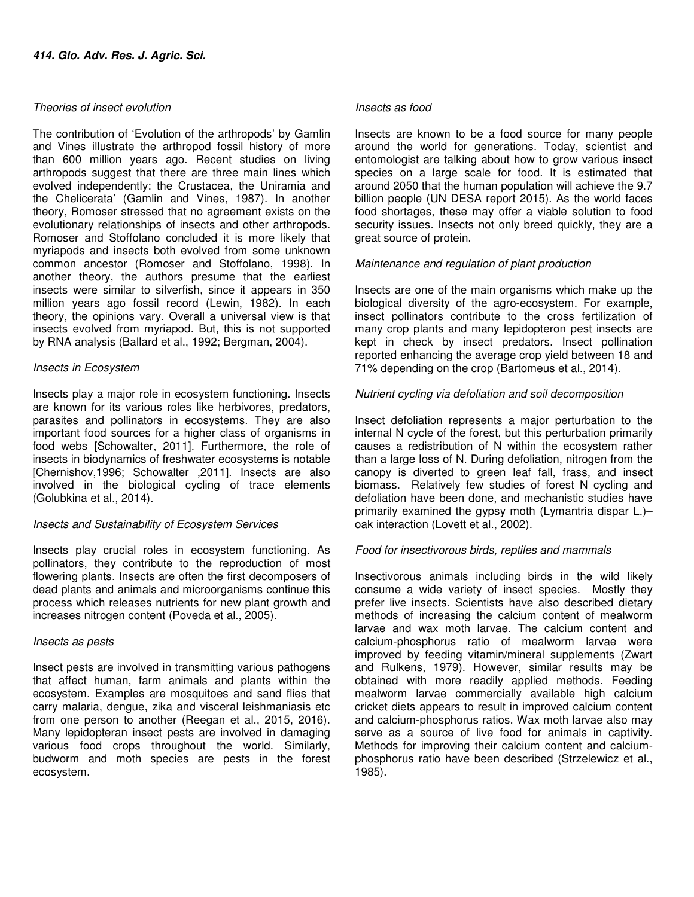### Theories of insect evolution

The contribution of 'Evolution of the arthropods' by Gamlin and Vines illustrate the arthropod fossil history of more than 600 million years ago. Recent studies on living arthropods suggest that there are three main lines which evolved independently: the Crustacea, the Uniramia and the Chelicerata' (Gamlin and Vines, 1987). In another theory, Romoser stressed that no agreement exists on the evolutionary relationships of insects and other arthropods. Romoser and Stoffolano concluded it is more likely that myriapods and insects both evolved from some unknown common ancestor (Romoser and Stoffolano, 1998). In another theory, the authors presume that the earliest insects were similar to silverfish, since it appears in 350 million years ago fossil record (Lewin, 1982). In each theory, the opinions vary. Overall a universal view is that insects evolved from myriapod. But, this is not supported by RNA analysis (Ballard et al., 1992; Bergman, 2004).

## Insects in Ecosystem

Insects play a major role in ecosystem functioning. Insects are known for its various roles like herbivores, predators, parasites and pollinators in ecosystems. They are also important food sources for a higher class of organisms in food webs [Schowalter, 2011]. Furthermore, the role of insects in biodynamics of freshwater ecosystems is notable [Chernishov,1996; Schowalter ,2011]. Insects are also involved in the biological cycling of trace elements (Golubkina et al., 2014).

## Insects and Sustainability of Ecosystem Services

Insects play crucial roles in ecosystem functioning. As pollinators, they contribute to the reproduction of most flowering plants. Insects are often the first decomposers of dead plants and animals and microorganisms continue this process which releases nutrients for new plant growth and increases nitrogen content (Poveda et al., 2005).

#### Insects as pests

Insect pests are involved in transmitting various pathogens that affect human, farm animals and plants within the ecosystem. Examples are mosquitoes and sand flies that carry malaria, dengue, zika and visceral leishmaniasis etc from one person to another (Reegan et al., 2015, 2016). Many lepidopteran insect pests are involved in damaging various food crops throughout the world. Similarly, budworm and moth species are pests in the forest ecosystem.

#### Insects as food

Insects are known to be a food source for many people around the world for generations. Today, scientist and entomologist are talking about how to grow various insect species on a large scale for food. It is estimated that around 2050 that the human population will achieve the 9.7 billion people (UN DESA report 2015). As the world faces food shortages, these may offer a viable solution to food security issues. Insects not only breed quickly, they are a great source of protein.

## Maintenance and regulation of plant production

Insects are one of the main organisms which make up the biological diversity of the agro-ecosystem. For example, insect pollinators contribute to the cross fertilization of many crop plants and many lepidopteron pest insects are kept in check by insect predators. Insect pollination reported enhancing the average crop yield between 18 and 71% depending on the crop (Bartomeus et al., 2014).

#### Nutrient cycling via defoliation and soil decomposition

Insect defoliation represents a major perturbation to the internal N cycle of the forest, but this perturbation primarily causes a redistribution of N within the ecosystem rather than a large loss of N. During defoliation, nitrogen from the canopy is diverted to green leaf fall, frass, and insect biomass. Relatively few studies of forest N cycling and defoliation have been done, and mechanistic studies have primarily examined the gypsy moth (Lymantria dispar L.)– oak interaction (Lovett et al., 2002).

## Food for insectivorous birds, reptiles and mammals

Insectivorous animals including birds in the wild likely consume a wide variety of insect species. Mostly they prefer live insects. Scientists have also described dietary methods of increasing the calcium content of mealworm larvae and wax moth larvae. The calcium content and calcium-phosphorus ratio of mealworm larvae were improved by feeding vitamin/mineral supplements (Zwart and Rulkens, 1979). However, similar results may be obtained with more readily applied methods. Feeding mealworm larvae commercially available high calcium cricket diets appears to result in improved calcium content and calcium-phosphorus ratios. Wax moth larvae also may serve as a source of live food for animals in captivity. Methods for improving their calcium content and calciumphosphorus ratio have been described (Strzelewicz et al., 1985).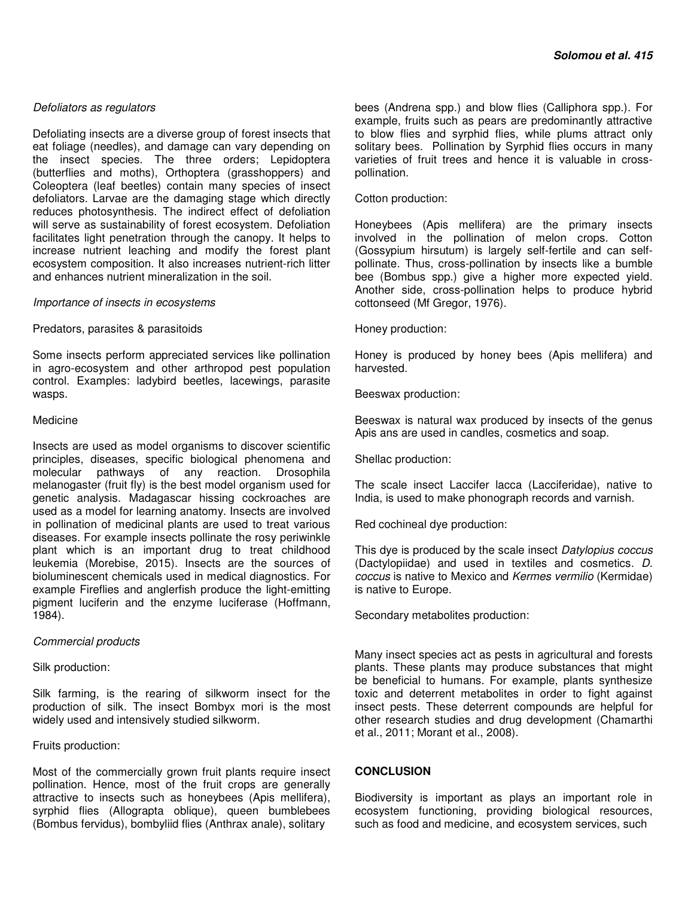Defoliating insects are a diverse group of forest insects that eat foliage (needles), and damage can vary depending on the insect species. The three orders; Lepidoptera (butterflies and moths), Orthoptera (grasshoppers) and Coleoptera (leaf beetles) contain many species of insect defoliators. Larvae are the damaging stage which directly reduces photosynthesis. The indirect effect of defoliation will serve as sustainability of forest ecosystem. Defoliation facilitates light penetration through the canopy. It helps to increase nutrient leaching and modify the forest plant ecosystem composition. It also increases nutrient-rich litter and enhances nutrient mineralization in the soil.

#### Importance of insects in ecosystems

## Predators, parasites & parasitoids

Some insects perform appreciated services like pollination in agro-ecosystem and other arthropod pest population control. Examples: ladybird beetles, lacewings, parasite wasps.

#### **Medicine**

Insects are used as model organisms to discover scientific principles, diseases, specific biological phenomena and molecular pathways of any reaction. Drosophila melanogaster (fruit fly) is the best model organism used for genetic analysis. Madagascar hissing cockroaches are used as a model for learning anatomy. Insects are involved in pollination of medicinal plants are used to treat various diseases. For example insects pollinate the rosy periwinkle plant which is an important drug to treat childhood leukemia (Morebise, 2015). Insects are the sources of bioluminescent chemicals used in medical diagnostics. For example Fireflies and anglerfish produce the light-emitting pigment luciferin and the enzyme luciferase (Hoffmann, 1984).

## Commercial products

Silk production:

Silk farming, is the rearing of silkworm insect for the production of silk. The insect Bombyx mori is the most widely used and intensively studied silkworm.

## Fruits production:

Most of the commercially grown fruit plants require insect pollination. Hence, most of the fruit crops are generally attractive to insects such as honeybees (Apis mellifera), syrphid flies (Allograpta oblique), queen bumblebees (Bombus fervidus), bombyliid flies (Anthrax anale), solitary

bees (Andrena spp.) and blow flies (Calliphora spp.). For example, fruits such as pears are predominantly attractive to blow flies and syrphid flies, while plums attract only solitary bees. Pollination by Syrphid flies occurs in many varieties of fruit trees and hence it is valuable in crosspollination.

Cotton production:

Honeybees (Apis mellifera) are the primary insects involved in the pollination of melon crops. Cotton (Gossypium hirsutum) is largely self-fertile and can selfpollinate. Thus, cross-pollination by insects like a bumble bee (Bombus spp.) give a higher more expected yield. Another side, cross-pollination helps to produce hybrid cottonseed (Mf Gregor, 1976).

#### Honey production:

Honey is produced by honey bees (Apis mellifera) and harvested.

Beeswax production:

Beeswax is natural wax produced by insects of the genus Apis ans are used in candles, cosmetics and soap.

Shellac production:

The scale insect Laccifer lacca (Lacciferidae), native to India, is used to make phonograph records and varnish.

Red cochineal dye production:

This dye is produced by the scale insect Datylopius coccus (Dactylopiidae) and used in textiles and cosmetics. D. coccus is native to Mexico and Kermes vermilio (Kermidae) is native to Europe.

Secondary metabolites production:

Many insect species act as pests in agricultural and forests plants. These plants may produce substances that might be beneficial to humans. For example, plants synthesize toxic and deterrent metabolites in order to fight against insect pests. These deterrent compounds are helpful for other research studies and drug development (Chamarthi et al., 2011; Morant et al., 2008).

## **CONCLUSION**

Biodiversity is important as plays an important role in ecosystem functioning, providing biological resources, such as food and medicine, and ecosystem services, such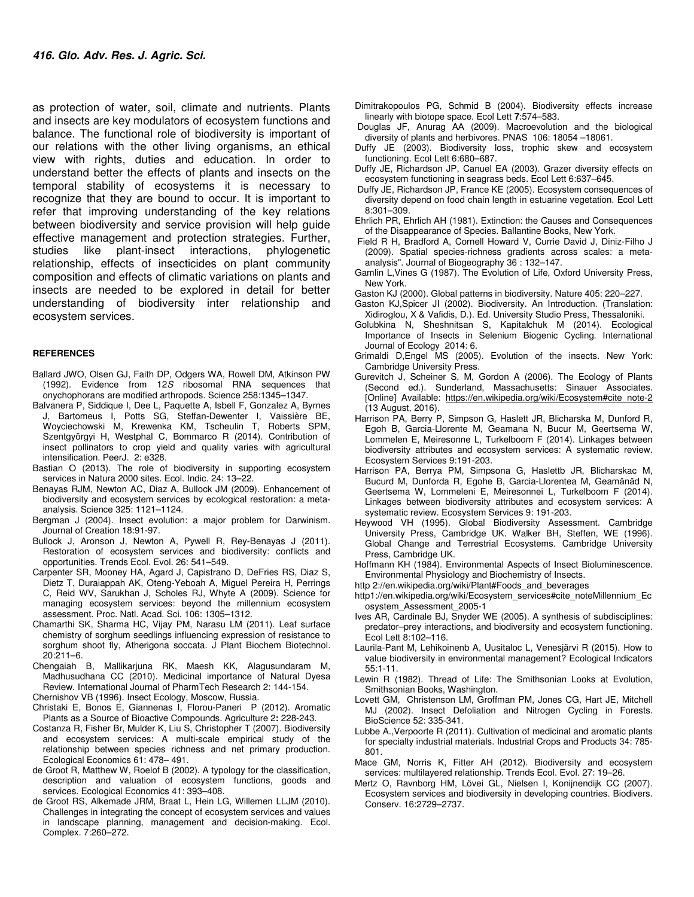as protection of water, soil, climate and nutrients. Plants and insects are key modulators of ecosystem functions and balance. The functional role of biodiversity is important of our relations with the other living organisms, an ethical view with rights, duties and education. In order to understand better the effects of plants and insects on the temporal stability of ecosystems it is necessary to recognize that they are bound to occur. It is important to refer that improving understanding of the key relations between biodiversity and service provision will help guide effective management and protection strategies. Further, studies like plant-insect interactions, phylogenetic relationship, effects of insecticides on plant community composition and effects of climatic variations on plants and insects are needed to be explored in detail for better understanding of biodiversity inter relationship and ecosystem services.

#### **REFERENCES**

- Ballard JWO, Olsen GJ, Faith DP, Odgers WA, Rowell DM, Atkinson PW (1992). Evidence from 12S ribosomal RNA sequences that onychophorans are modified arthropods. Science 258:1345–1347.
- Balvanera P, Siddique I, Dee L, Paquette A, Isbell F, Gonzalez A, Byrnes J, Bartomeus I, Potts SG, Steffan-Dewenter I, Vaissière BE, Woyciechowski M, Krewenka KM, Tscheulin T, Roberts SPM, Szentgyörgyi H, Westphal C, Bommarco R (2014). Contribution of insect pollinators to crop yield and quality varies with agricultural intensification. PeerJ. 2: e328.
- Bastian O (2013). The role of biodiversity in supporting ecosystem services in Natura 2000 sites. Ecol. Indic. 24: 13–22.
- Benayas RJM, Newton AC, Diaz A, Bullock JM (2009). Enhancement of biodiversity and ecosystem services by ecological restoration: a metaanalysis. Science 325: 1121–1124.
- Bergman J (2004). Insect evolution: a major problem for Darwinism. Journal of Creation 18:91-97.
- Bullock J, Aronson J, Newton A, Pywell R, Rey-Benayas J (2011). Restoration of ecosystem services and biodiversity: conflicts and opportunities. Trends Ecol. Evol. 26: 541–549.
- Carpenter SR, Mooney HA, Agard J, Capistrano D, DeFries RS, Diaz S, Dietz T, Duraiappah AK, Oteng-Yeboah A, Miguel Pereira H, Perrings C, Reid WV, Sarukhan J, Scholes RJ, Whyte A (2009). Science for managing ecosystem services: beyond the millennium ecosystem assessment. Proc. Natl. Acad. Sci. 106: 1305–1312.
- Chamarthi SK, Sharma HC, Vijay PM, Narasu LM (2011). Leaf surface chemistry of sorghum seedlings influencing expression of resistance to sorghum shoot fly, Atherigona soccata. J Plant Biochem Biotechnol. 20:211–6.
- Chengaiah B, Mallikarjuna RK, Maesh KK, Alagusundaram M, Madhusudhana CC (2010). Medicinal importance of Natural Dyesa Review. International Journal of PharmTech Research 2: 144-154.
- Chernishov VB (1996). Insect Ecology, Moscow, Russia.
- Christaki E, Bonos E, Giannenas I, Florou-Paneri P (2012). Aromatic Plants as a Source of Bioactive Compounds. Agriculture 2**:** 228-243.
- Costanza R, Fisher Br, Mulder K, Liu S, Christopher T (2007). Biodiversity and ecosystem services: A multi-scale empirical study of the relationship between species richness and net primary production. Ecological Economics 61: 478– 491.
- de Groot R, Matthew W, Roelof B (2002). A typology for the classification, description and valuation of ecosystem functions, goods and services. Ecological Economics 41: 393–408.
- de Groot RS, Alkemade JRM, Braat L, Hein LG, Willemen LLJM (2010). Challenges in integrating the concept of ecosystem services and values in landscape planning, management and decision-making. Ecol. Complex. 7:260–272.
- Dimitrakopoulos PG, Schmid B (2004). Biodiversity effects increase linearly with biotope space. Ecol Lett **7**:574–583.
- Douglas JF, Anurag AΑ (2009). Macroevolution and the biological diversity of plants and herbivores. PNAS 106: 18054 –18061.
- Duffy JE (2003). Biodiversity loss, trophic skew and ecosystem functioning. Ecol Lett 6:680–687.
- Duffy JE, Richardson JP, Canuel EA (2003). Grazer diversity effects on ecosystem functioning in seagrass beds. Ecol Lett 6:637–645.
- Duffy JE, Richardson JP, France KE (2005). Ecosystem consequences of diversity depend on food chain length in estuarine vegetation. Ecol Lett 8:301–309.
- Ehrlich PR, Ehrlich AH (1981). Extinction: the Causes and Consequences of the Disappearance of Species. Ballantine Books, New York.
- Field R H, Bradford A, Cornell Howard V, Currie David J, Diniz-Filho J (2009). Spatial species-richness gradients across scales: a metaanalysis". Journal of Biogeography 36 : 132–147.
- Gamlin L,Vines G (1987). The Evolution of Life, Oxford University Press, New York.
- Gaston KJ (2000). Global patterns in biodiversity. Nature 405: 220–227.
- Gaston KJ,Spicer JI (2002). Biodiversity. An Introduction. (Translation: Xidiroglou, X & Vafidis, D.). Ed. University Studio Press, Thessaloniki.
- Golubkina N, Sheshnitsan S, Kapitalchuk M (2014). Ecological Importance of Insects in Selenium Biogenic Cycling. International Journal of Ecology 2014: 6.
- Grimaldi D,Engel MS (2005). Evolution of the insects. New York: Cambridge University Press.
- Gurevitch J, Scheiner S, M, Gordon A (2006). The Ecology of Plants (Second ed.). Sunderland, Massachusetts: Sinauer Associates. [Online] Available: https://en.wikipedia.org/wiki/Ecosystem#cite\_note-2 (13 August, 2016).
- Harrison PA, Berry P, Simpson G, Haslett JR, Blicharska M, Dunford R, Egoh B, Garcia-Llorente M, Geamana N, Bucur M, Geertsema W, Lommelen E, Meiresonne L, Turkelboom F (2014). Linkages between biodiversity attributes and ecosystem services: A systematic review. Ecosystem Services 9:191-203.
- Harrison PA, Berrya PM, Simpsona G, Haslettb JR, Blicharskac M, Bucurd M, Dunforda R, Egohe B, Garcia-Llorentea M, Geamănăd N, Geertsema W, Lommeleni E, Meiresonnei L, Turkelboom F (2014). Linkages between biodiversity attributes and ecosystem services: A systematic review. Ecosystem Services 9: 191-203.
- Heywood VH (1995). Global Biodiversity Assessment. Cambridge University Press, Cambridge UK. Walker BH, Steffen, WE (1996). Global Change and Terrestrial Ecosystems. Cambridge University Press, Cambridge UK.
- Hoffmann KH (1984). Environmental Aspects of Insect Bioluminescence. Environmental Physiology and Biochemistry of Insects.
- http 2://en.wikipedia.org/wiki/Plant#Foods\_and\_beverages
- http1://en.wikipedia.org/wiki/Ecosystem\_services#cite\_noteMillennium\_Ec osystem\_Assessment\_2005-1
- Ives AR, Cardinale BJ, Snyder WE (2005). A synthesis of subdisciplines: predator–prey interactions, and biodiversity and ecosystem functioning. Ecol Lett 8:102–116.
- Laurila-Pant M, Lehikoinenb A, Uusitaloc L, Venesjärvi R (2015). How to value biodiversity in environmental management? Ecological Indicators 55:1-11.
- Lewin R (1982). Thread of Life: The Smithsonian Looks at Evolution, Smithsonian Books, Washington.
- Lovett GM, Christenson LM, Groffman PM, Jones CG, Hart JE, Mitchell MJ (2002). Insect Defoliation and Nitrogen Cycling in Forests. BioScience 52: 335-341.
- Lubbe A.,Verpoorte R (2011). Cultivation of medicinal and aromatic plants for specialty industrial materials. Industrial Crops and Products 34: 785- 801.
- Mace GM, Norris K, Fitter AH (2012). Biodiversity and ecosystem services: multilayered relationship. Trends Ecol. Evol. 27: 19–26.
- Mertz O, Ravnborg HM, Lövei GL, Nielsen I, Konijnendijk CC (2007). Ecosystem services and biodiversity in developing countries. Biodivers. Conserv. 16:2729–2737.